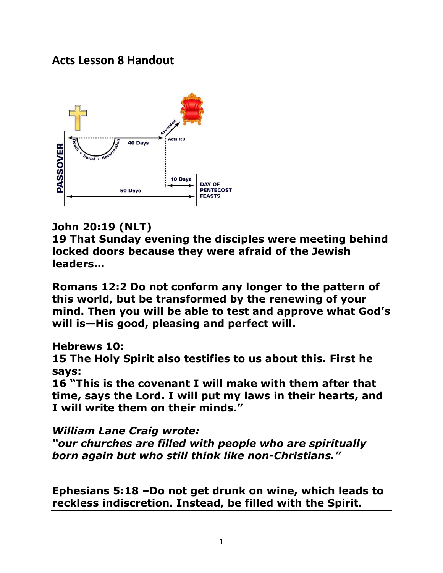# **Acts Lesson 8 Handout**



### **John 20:19 (NLT)**

**19 That Sunday evening the disciples were meeting behind locked doors because they were afraid of the Jewish leaders…**

**Romans 12:2 Do not conform any longer to the pattern of this world, but be transformed by the renewing of your mind. Then you will be able to test and approve what God's will is—His good, pleasing and perfect will.** 

**Hebrews 10:** 

**15 The Holy Spirit also testifies to us about this. First he says:** 

**16 "This is the covenant I will make with them after that time, says the Lord. I will put my laws in their hearts, and I will write them on their minds."**

*William Lane Craig wrote:* 

*"our churches are filled with people who are spiritually born again but who still think like non-Christians."*

**Ephesians 5:18 –[Do not](http://biblehub.com/greek/3361.htm) [get drunk](http://biblehub.com/greek/3182.htm) [on wine,](http://biblehub.com/greek/3631.htm) [which](http://biblehub.com/greek/3739.htm) [leads to](http://biblehub.com/greek/1510.htm)  [reckless indiscretion.](http://biblehub.com/greek/810.htm) [Instead,](http://biblehub.com/greek/235.htm) [be filled](http://biblehub.com/greek/4137.htm) [with](http://biblehub.com/greek/1722.htm) [the Spirit.](http://biblehub.com/greek/4151.htm)**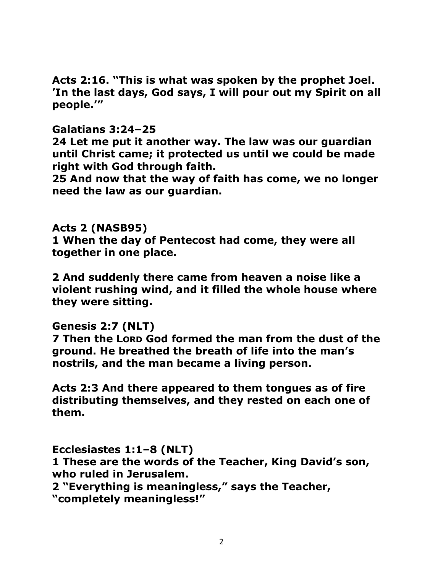**[Acts 2:16.](http://www.biblestudytools.com/search/?q=ac+2:16) "This is what was spoken by the prophet Joel. 'In the last days, God says, I will pour out my Spirit on all people.'"**

#### **Galatians 3:24–25**

**24 Let me put it another way. The law was our guardian until Christ came; it protected us until we could be made right with God through faith.** 

**25 And now that the way of faith has come, we no longer need the law as our guardian.** 

#### **Acts 2 (NASB95)**

**1 When the day of Pentecost had come, they were all together in one place.** 

**2 And suddenly there came from heaven a noise like a violent rushing wind, and it filled the whole house where they were sitting.** 

#### **Genesis 2:7 (NLT)**

**7 Then the LORD God formed the man from the dust of the ground. He breathed the breath of life into the man's nostrils, and the man became a living person.** 

**Acts 2:3 And there appeared to them tongues as of fire distributing themselves, and they rested on each one of them.** 

**Ecclesiastes 1:1–8 (NLT) 1 These are the words of the Teacher, King David's son, who ruled in Jerusalem.** 

**2 "Everything is meaningless," says the Teacher,** 

**"completely meaningless!"**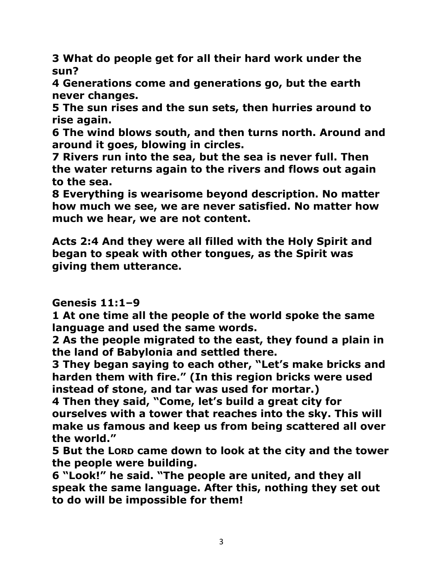**3 What do people get for all their hard work under the sun?** 

**4 Generations come and generations go, but the earth never changes.** 

**5 The sun rises and the sun sets, then hurries around to rise again.** 

**6 The wind blows south, and then turns north. Around and around it goes, blowing in circles.** 

**7 Rivers run into the sea, but the sea is never full. Then the water returns again to the rivers and flows out again to the sea.** 

**8 Everything is wearisome beyond description. No matter how much we see, we are never satisfied. No matter how much we hear, we are not content.** 

**Acts 2:4 And they were all filled with the Holy Spirit and began to speak with other tongues, as the Spirit was giving them utterance.** 

## **Genesis 11:1–9**

**1 At one time all the people of the world spoke the same language and used the same words.** 

**2 As the people migrated to the east, they found a plain in the land of Babylonia and settled there.** 

**3 They began saying to each other, "Let's make bricks and harden them with fire." (In this region bricks were used instead of stone, and tar was used for mortar.)** 

**4 Then they said, "Come, let's build a great city for ourselves with a tower that reaches into the sky. This will make us famous and keep us from being scattered all over the world."** 

**5 But the LORD came down to look at the city and the tower the people were building.** 

**6 "Look!" he said. "The people are united, and they all speak the same language. After this, nothing they set out to do will be impossible for them!**